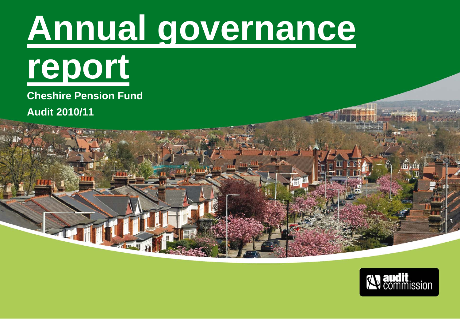# **Annual governance**



**Cheshire Pension Fund Audit 2010/11** 

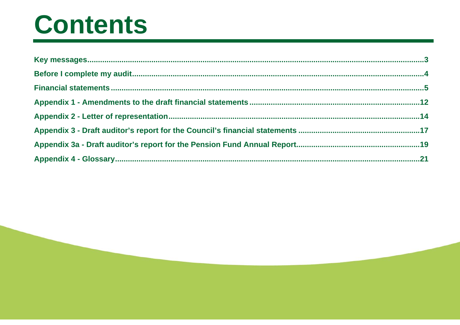### Contents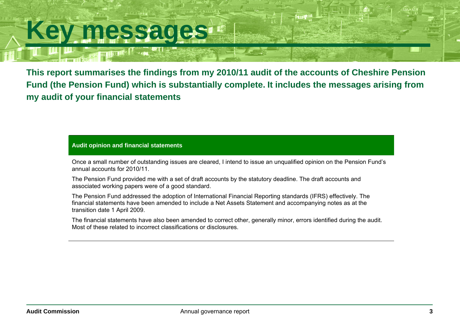### **Key messages**

स्मि

**This report summarises the findings from my 2010/11 audit of the accounts of Cheshire Pension Fund (the Pension Fund) which is substantially complete. It includes the messages arising from my audit of your financial statements** 

**Audit opinion and financial statements** 

Once a small number of outstanding issues are cleared, I intend to issue an unqualified opinion on the Pension Fund's annual accounts for 2010/11.

The Pension Fund provided me with a set of draft accounts by the statutory deadline. The draft accounts and associated working papers were of a good standard.

The Pension Fund addressed the adoption of International Financial Reporting standards (IFRS) effectively. The financial statements have been amended to include a Net Assets Statement and accompanying notes as at the transition date 1 April 2009.

The financial statements have also been amended to correct other, generally minor, errors identified during the audit. Most of these related to incorrect classifications or disclosures.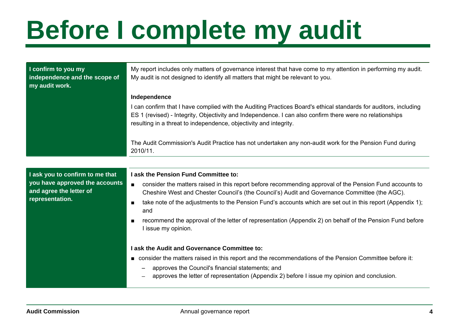# **Before I complete my audit**

| I confirm to you my<br>independence and the scope of<br>my audit work. | My report includes only matters of governance interest that have come to my attention in performing my audit.<br>My audit is not designed to identify all matters that might be relevant to you.                                                                                                  |  |  |
|------------------------------------------------------------------------|---------------------------------------------------------------------------------------------------------------------------------------------------------------------------------------------------------------------------------------------------------------------------------------------------|--|--|
|                                                                        | Independence                                                                                                                                                                                                                                                                                      |  |  |
|                                                                        | I can confirm that I have complied with the Auditing Practices Board's ethical standards for auditors, including<br>ES 1 (revised) - Integrity, Objectivity and Independence. I can also confirm there were no relationships<br>resulting in a threat to independence, objectivity and integrity. |  |  |
|                                                                        | The Audit Commission's Audit Practice has not undertaken any non-audit work for the Pension Fund during<br>2010/11.                                                                                                                                                                               |  |  |
|                                                                        |                                                                                                                                                                                                                                                                                                   |  |  |
| I ask you to confirm to me that                                        | I ask the Pension Fund Committee to:                                                                                                                                                                                                                                                              |  |  |
| you have approved the accounts<br>and agree the letter of              | consider the matters raised in this report before recommending approval of the Pension Fund accounts to<br>$\blacksquare$<br>Cheshire West and Chester Council's (the Council's) Audit and Governance Committee (the AGC).                                                                        |  |  |
| representation.                                                        | take note of the adjustments to the Pension Fund's accounts which are set out in this report (Appendix 1);<br>and                                                                                                                                                                                 |  |  |
|                                                                        | recommend the approval of the letter of representation (Appendix 2) on behalf of the Pension Fund before<br>I issue my opinion.                                                                                                                                                                   |  |  |
|                                                                        | I ask the Audit and Governance Committee to:                                                                                                                                                                                                                                                      |  |  |
|                                                                        | ■ consider the matters raised in this report and the recommendations of the Pension Committee before it:                                                                                                                                                                                          |  |  |
|                                                                        | approves the Council's financial statements; and<br>approves the letter of representation (Appendix 2) before I issue my opinion and conclusion.                                                                                                                                                  |  |  |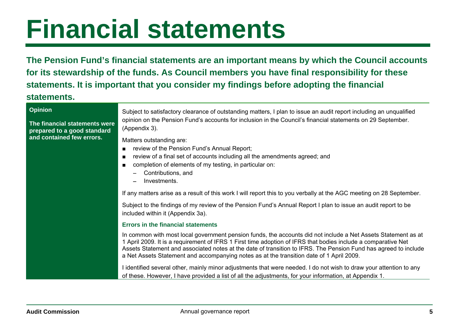**The Pension Fund's financial statements are an important means by which the Council accounts for its stewardship of the funds. As Council members you have final responsibility for these statements. It is important that you consider my findings before adopting the financial** 

### **statements.**

#### **Opinion**

**The financial statements were prepared to a good standard and contained few errors.** 

Subject to satisfactory clearance of outstanding matters, I plan to issue an audit report including an unqualified opinion on the Pension Fund's accounts for inclusion in the Council's financial statements on 29 September. (Appendix 3).

Matters outstanding are:

- review of the Pension Fund's Annual Report;
- ■ review of a final set of accounts including all the amendments agreed; and
- completion of elements of my testing, in particular on:
	- − Contributions, and
	- Investments.

If any matters arise as a result of this work I will report this to you verbally at the AGC meeting on 28 September.

Subject to the findings of my review of the Pension Fund's Annual Report I plan to issue an audit report to be included within it (Appendix 3a).

#### **Errors in the financial statements**

In common with most local government pension funds, the accounts did not include a Net Assets Statement as at 1 April 2009. It is a requirement of IFRS 1 First time adoption of IFRS that bodies include a comparative Net Assets Statement and associated notes at the date of transition to IFRS. The Pension Fund has agreed to include a Net Assets Statement and accompanying notes as at the transition date of 1 April 2009.

I identified several other, mainly minor adjustments that were needed. I do not wish to draw your attention to any of these. However, I have provided a list of all the adjustments, for your information, at Appendix 1.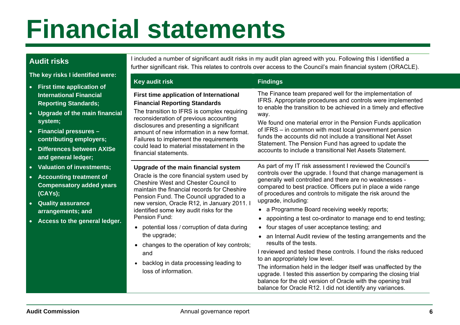### **Audit risks**

**The key risks I identified were:** 

- **First time application of International Financial Reporting Standards;**
- **Upgrade of the main financial system;**
- **Financial pressures contributing employers;**
- **Differences between AXISe and general ledger;**
- **Valuation of investments;**
- **Accounting treatment of Compensatory added years (CAYs);**
- **Quality assurance arrangements; and**
- **Access to the general ledger.**

I included a number of significant audit risks in my audit plan agreed with you. Following this I identified a further significant risk. This relates to controls over access to the Council's main financial system (ORACLE).

| <b>Key audit risk</b>                                                                                                                                                                                                                                                                                                                                                                                                                                                                                                                                             | <b>Findings</b>                                                                                                                                                                                                                                                                                                                                                                                                                                                                                                                                                                                                                                                                                                                                                                                                                                                                                                                                                                                                  |
|-------------------------------------------------------------------------------------------------------------------------------------------------------------------------------------------------------------------------------------------------------------------------------------------------------------------------------------------------------------------------------------------------------------------------------------------------------------------------------------------------------------------------------------------------------------------|------------------------------------------------------------------------------------------------------------------------------------------------------------------------------------------------------------------------------------------------------------------------------------------------------------------------------------------------------------------------------------------------------------------------------------------------------------------------------------------------------------------------------------------------------------------------------------------------------------------------------------------------------------------------------------------------------------------------------------------------------------------------------------------------------------------------------------------------------------------------------------------------------------------------------------------------------------------------------------------------------------------|
| <b>First time application of International</b><br><b>Financial Reporting Standards</b><br>The transition to IFRS is complex requiring<br>reconsideration of previous accounting<br>disclosures and presenting a significant<br>amount of new information in a new format.<br>Failures to implement the requirements<br>could lead to material misstatement in the<br>financial statements.                                                                                                                                                                        | The Finance team prepared well for the implementation of<br>IFRS. Appropriate procedures and controls were implemented<br>to enable the transition to be achieved in a timely and effective<br>way.<br>We found one material error in the Pension Funds application<br>of IFRS – in common with most local government pension<br>funds the accounts did not include a transitional Net Asset<br>Statement. The Pension Fund has agreed to update the<br>accounts to include a transitional Net Assets Statement.                                                                                                                                                                                                                                                                                                                                                                                                                                                                                                 |
| Upgrade of the main financial system<br>Oracle is the core financial system used by<br><b>Cheshire West and Chester Council to</b><br>maintain the financial records for Cheshire<br>Pension Fund. The Council upgraded to a<br>new version, Oracle R12, in January 2011. I<br>identified some key audit risks for the<br>Pension Fund:<br>potential loss / corruption of data during<br>$\bullet$<br>the upgrade;<br>changes to the operation of key controls;<br>$\bullet$<br>and<br>backlog in data processing leading to<br>$\bullet$<br>loss of information. | As part of my IT risk assessment I reviewed the Council's<br>controls over the upgrade. I found that change management is<br>generally well controlled and there are no weaknesses -<br>compared to best practice. Officers put in place a wide range<br>of procedures and controls to mitigate the risk around the<br>upgrade, including:<br>a Programme Board receiving weekly reports;<br>appointing a test co-ordinator to manage end to end testing;<br>$\bullet$<br>four stages of user acceptance testing; and<br>$\bullet$<br>an Internal Audit review of the testing arrangements and the<br>$\bullet$<br>results of the tests.<br>I reviewed and tested these controls. I found the risks reduced<br>to an appropriately low level.<br>The information held in the ledger itself was unaffected by the<br>upgrade. I tested this assertion by comparing the closing trial<br>balance for the old version of Oracle with the opening trail<br>balance for Oracle R12. I did not identify any variances. |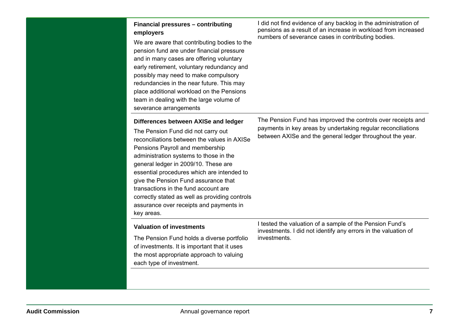| Financial pressures - contributing<br>employers<br>We are aware that contributing bodies to the<br>pension fund are under financial pressure<br>and in many cases are offering voluntary<br>early retirement, voluntary redundancy and<br>possibly may need to make compulsory<br>redundancies in the near future. This may<br>place additional workload on the Pensions<br>team in dealing with the large volume of<br>severance arrangements                                          | I did not find evidence of any backlog in the administration of<br>pensions as a result of an increase in workload from increased<br>numbers of severance cases in contributing bodies.   |
|-----------------------------------------------------------------------------------------------------------------------------------------------------------------------------------------------------------------------------------------------------------------------------------------------------------------------------------------------------------------------------------------------------------------------------------------------------------------------------------------|-------------------------------------------------------------------------------------------------------------------------------------------------------------------------------------------|
| Differences between AXISe and ledger<br>The Pension Fund did not carry out<br>reconciliations between the values in AXISe<br>Pensions Payroll and membership<br>administration systems to those in the<br>general ledger in 2009/10. These are<br>essential procedures which are intended to<br>give the Pension Fund assurance that<br>transactions in the fund account are<br>correctly stated as well as providing controls<br>assurance over receipts and payments in<br>key areas. | The Pension Fund has improved the controls over receipts and<br>payments in key areas by undertaking regular reconciliations<br>between AXISe and the general ledger throughout the year. |
| <b>Valuation of investments</b><br>The Pension Fund holds a diverse portfolio<br>of investments. It is important that it uses<br>the most appropriate approach to valuing<br>each type of investment.                                                                                                                                                                                                                                                                                   | I tested the valuation of a sample of the Pension Fund's<br>investments. I did not identify any errors in the valuation of<br>investments.                                                |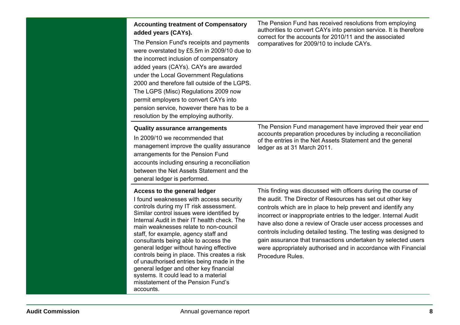| <b>Accounting treatment of Compensatory</b><br>added years (CAYs).<br>The Pension Fund's receipts and payments<br>were overstated by £5.5m in 2009/10 due to<br>the incorrect inclusion of compensatory<br>added years (CAYs). CAYs are awarded<br>under the Local Government Regulations<br>2000 and therefore fall outside of the LGPS.<br>The LGPS (Misc) Regulations 2009 now<br>permit employers to convert CAYs into<br>pension service, however there has to be a<br>resolution by the employing authority.                                                                                                   | The Pension Fund has received resolutions from employing<br>authorities to convert CAYs into pension service. It is therefore<br>correct for the accounts for 2010/11 and the associated<br>comparatives for 2009/10 to include CAYs.                                                                                                                                                                                                                                                                                                                     |
|----------------------------------------------------------------------------------------------------------------------------------------------------------------------------------------------------------------------------------------------------------------------------------------------------------------------------------------------------------------------------------------------------------------------------------------------------------------------------------------------------------------------------------------------------------------------------------------------------------------------|-----------------------------------------------------------------------------------------------------------------------------------------------------------------------------------------------------------------------------------------------------------------------------------------------------------------------------------------------------------------------------------------------------------------------------------------------------------------------------------------------------------------------------------------------------------|
| <b>Quality assurance arrangements</b><br>In 2009/10 we recommended that<br>management improve the quality assurance<br>arrangements for the Pension Fund<br>accounts including ensuring a reconciliation<br>between the Net Assets Statement and the<br>general ledger is performed.                                                                                                                                                                                                                                                                                                                                 | The Pension Fund management have improved their year end<br>accounts preparation procedures by including a reconciliation<br>of the entries in the Net Assets Statement and the general<br>ledger as at 31 March 2011.                                                                                                                                                                                                                                                                                                                                    |
| Access to the general ledger<br>I found weaknesses with access security<br>controls during my IT risk assessment.<br>Similar control issues were identified by<br>Internal Audit in their IT health check. The<br>main weaknesses relate to non-council<br>staff, for example, agency staff and<br>consultants being able to access the<br>general ledger without having effective<br>controls being in place. This creates a risk<br>of unauthorised entries being made in the<br>general ledger and other key financial<br>systems. It could lead to a material<br>misstatement of the Pension Fund's<br>accounts. | This finding was discussed with officers during the course of<br>the audit. The Director of Resources has set out other key<br>controls which are in place to help prevent and identify any<br>incorrect or inappropriate entries to the ledger. Internal Audit<br>have also done a review of Oracle user access processes and<br>controls including detailed testing. The testing was designed to<br>gain assurance that transactions undertaken by selected users<br>were appropriately authorised and in accordance with Financial<br>Procedure Rules. |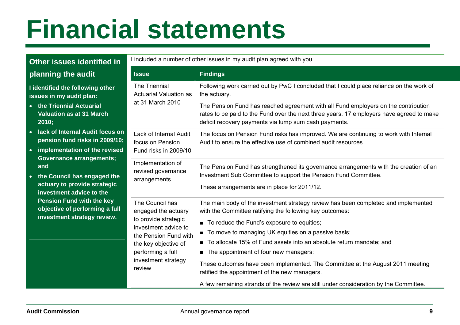| Other issues identified in                                                                                                                                                                                                                                                                                                                                                                                                  | I included a number of other issues in my audit plan agreed with you.                                                                                                                         |                                                                                                                                                                                                                                                                                                                                                                                                                                                                                                                                                                                                       |  |
|-----------------------------------------------------------------------------------------------------------------------------------------------------------------------------------------------------------------------------------------------------------------------------------------------------------------------------------------------------------------------------------------------------------------------------|-----------------------------------------------------------------------------------------------------------------------------------------------------------------------------------------------|-------------------------------------------------------------------------------------------------------------------------------------------------------------------------------------------------------------------------------------------------------------------------------------------------------------------------------------------------------------------------------------------------------------------------------------------------------------------------------------------------------------------------------------------------------------------------------------------------------|--|
| planning the audit                                                                                                                                                                                                                                                                                                                                                                                                          | <b>Issue</b>                                                                                                                                                                                  | <b>Findings</b>                                                                                                                                                                                                                                                                                                                                                                                                                                                                                                                                                                                       |  |
| The Triennial<br>I identified the following other<br>issues in my audit plan:<br>• the Triennial Actuarial<br><b>Valuation as at 31 March</b><br>2010;<br>lack of Internal Audit focus on<br>$\bullet$<br>pension fund risks in 2009/10;<br>implementation of the revised<br><b>Governance arrangements;</b><br>and<br>the Council has engaged the<br>$\bullet$<br>actuary to provide strategic<br>investment advice to the | <b>Actuarial Valuation as</b><br>at 31 March 2010                                                                                                                                             | Following work carried out by PwC I concluded that I could place reliance on the work of<br>the actuary.                                                                                                                                                                                                                                                                                                                                                                                                                                                                                              |  |
|                                                                                                                                                                                                                                                                                                                                                                                                                             |                                                                                                                                                                                               | The Pension Fund has reached agreement with all Fund employers on the contribution<br>rates to be paid to the Fund over the next three years. 17 employers have agreed to make<br>deficit recovery payments via lump sum cash payments.                                                                                                                                                                                                                                                                                                                                                               |  |
|                                                                                                                                                                                                                                                                                                                                                                                                                             | Lack of Internal Audit<br>focus on Pension<br>Fund risks in 2009/10                                                                                                                           | The focus on Pension Fund risks has improved. We are continuing to work with Internal<br>Audit to ensure the effective use of combined audit resources.                                                                                                                                                                                                                                                                                                                                                                                                                                               |  |
|                                                                                                                                                                                                                                                                                                                                                                                                                             | Implementation of<br>revised governance<br>arrangements                                                                                                                                       | The Pension Fund has strengthened its governance arrangements with the creation of an<br>Investment Sub Committee to support the Pension Fund Committee.<br>These arrangements are in place for 2011/12.                                                                                                                                                                                                                                                                                                                                                                                              |  |
| <b>Pension Fund with the key</b><br>objective of performing a full<br>investment strategy review.                                                                                                                                                                                                                                                                                                                           | The Council has<br>engaged the actuary<br>to provide strategic<br>investment advice to<br>the Pension Fund with<br>the key objective of<br>performing a full<br>investment strategy<br>review | The main body of the investment strategy review has been completed and implemented<br>with the Committee ratifying the following key outcomes:<br>■ To reduce the Fund's exposure to equities;<br>■ To move to managing UK equities on a passive basis;<br>■ To allocate 15% of Fund assets into an absolute return mandate; and<br>The appointment of four new managers:<br>These outcomes have been implemented. The Committee at the August 2011 meeting<br>ratified the appointment of the new managers.<br>A few remaining strands of the review are still under consideration by the Committee. |  |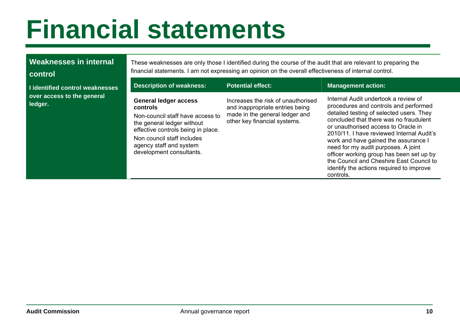### **Weaknesses in internal**

#### **control**

**I** identified control weaknes **over access to the general ledger.** 

These weaknesses are only those I identified during the course of the audit that are relevant to preparing the financial statements. I am not expressing an opinion on the overall effectiveness of internal control.

| sses | <b>Description of weakness:</b>                                                                                                                                                                                                       | <b>Potential effect:</b>                                                                                                                | <b>Management action:</b>                                                                                                                                                                                                                                                                                                                                                                                                                                                               |
|------|---------------------------------------------------------------------------------------------------------------------------------------------------------------------------------------------------------------------------------------|-----------------------------------------------------------------------------------------------------------------------------------------|-----------------------------------------------------------------------------------------------------------------------------------------------------------------------------------------------------------------------------------------------------------------------------------------------------------------------------------------------------------------------------------------------------------------------------------------------------------------------------------------|
|      | <b>General ledger access</b><br>controls<br>Non-council staff have access to<br>the general ledger without<br>effective controls being in place.<br>Non council staff includes<br>agency staff and system<br>development consultants. | Increases the risk of unauthorised<br>and inappropriate entries being<br>made in the general ledger and<br>other key financial systems. | Internal Audit undertook a review of<br>procedures and controls and performed<br>detailed testing of selected users. They<br>concluded that there was no fraudulent<br>or unauthorised access to Oracle in<br>2010/11. I have reviewed Internal Audit's<br>work and have gained the assurance I<br>need for my audit purposes. A joint<br>officer working group has been set up by<br>the Council and Cheshire East Council to<br>identify the actions required to improve<br>controls. |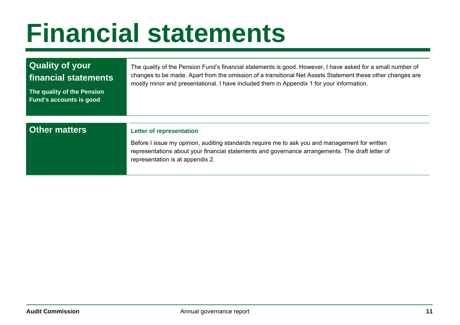| <b>Quality of your</b><br>financial statements<br>The quality of the Pension<br><b>Fund's accounts is good</b> | The quality of the Pension Fund's financial statements is good. However, I have asked for a small number of<br>changes to be made. Apart from the omission of a transitional Net Assets Statement these other changes are<br>mostly minor and presentational. I have included them in Appendix 1 for your information. |
|----------------------------------------------------------------------------------------------------------------|------------------------------------------------------------------------------------------------------------------------------------------------------------------------------------------------------------------------------------------------------------------------------------------------------------------------|
|                                                                                                                |                                                                                                                                                                                                                                                                                                                        |
| <b>Other matters</b>                                                                                           | <b>Letter of representation</b>                                                                                                                                                                                                                                                                                        |
|                                                                                                                | Before I issue my opinion, auditing standards require me to ask you and management for written<br>representations about your financial statements and governance arrangements. The draft letter of<br>representation is at appendix 2.                                                                                 |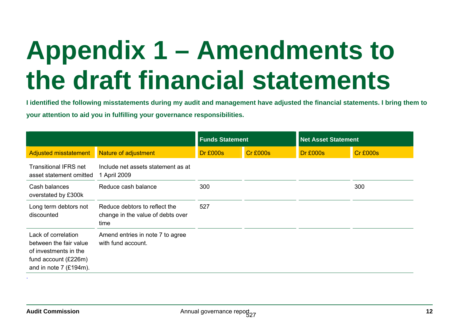# **Appendix 1 – Amendments to the draft financial statements**

**I identified the following misstatements during my audit and management have adjusted the financial statements. I bring them to your attention to aid you in fulfilling your governance responsibilities.** 

|                                                                                                                            |                                                                            | <b>Net Asset Statement</b><br><b>Funds Statement</b> |                 |                 |                 |
|----------------------------------------------------------------------------------------------------------------------------|----------------------------------------------------------------------------|------------------------------------------------------|-----------------|-----------------|-----------------|
| <b>Adjusted misstatement</b>                                                                                               | Nature of adjustment                                                       | <b>Dr £000s</b>                                      | <b>Cr £000s</b> | <b>Dr £000s</b> | <b>Cr £000s</b> |
| <b>Transitional IFRS net</b><br>asset statement omitted                                                                    | Include net assets statement as at<br>1 April 2009                         |                                                      |                 |                 |                 |
| Cash balances<br>overstated by £300k                                                                                       | Reduce cash balance                                                        | 300                                                  |                 |                 | 300             |
| Long term debtors not<br>discounted                                                                                        | Reduce debtors to reflect the<br>change in the value of debts over<br>time | 527                                                  |                 |                 |                 |
| Lack of correlation<br>between the fair value<br>of investments in the<br>fund account (£226m)<br>and in note $7$ (£194m). | Amend entries in note 7 to agree<br>with fund account.                     |                                                      |                 |                 |                 |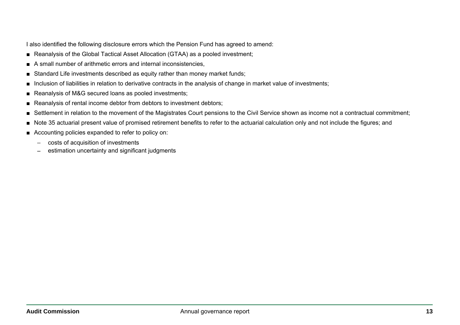I also identified the following disclosure errors which the Pension Fund has agreed to amend:

- Reanalysis of the Global Tactical Asset Allocation (GTAA) as a pooled investment;
- ■A small number of arithmetic errors and internal inconsistencies,
- ■Standard Life investments described as equity rather than money market funds;
- ■Inclusion of liabilities in relation to derivative contracts in the analysis of change in market value of investments;
- ■Reanalysis of M&G secured loans as pooled investments;
- ■Reanalysis of rental income debtor from debtors to investment debtors;
- ■Settlement in relation to the movement of the Magistrates Court pensions to the Civil Service shown as income not a contractual commitment;
- ■Note 35 actuarial present value of promised retirement benefits to refer to the actuarial calculation only and not include the figures; and
- Accounting policies expanded to refer to policy on:
	- costs of acquisition of investments
	- estimation uncertainty and significant judgments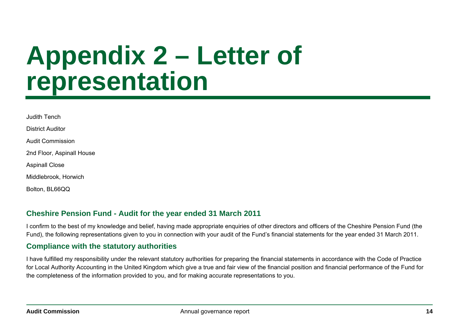### **Appendix 2 – Letter of representation**

| Judith Tench              |
|---------------------------|
| <b>District Auditor</b>   |
| Audit Commission          |
| 2nd Floor, Aspinall House |
| <b>Aspinall Close</b>     |
| Middlebrook, Horwich      |
| Bolton, BL66QQ            |

### **Cheshire Pension Fund - Audit for the year ended 31 March 2011**

I confirm to the best of my knowledge and belief, having made appropriate enquiries of other directors and officers of the Cheshire Pension Fund (the Fund), the following representations given to you in connection with your audit of the Fund's financial statements for the year ended 31 March 2011.

### **Compliance with the statutory authorities**

I have fulfilled my responsibility under the relevant statutory authorities for preparing the financial statements in accordance with the Code of Practice for Local Authority Accounting in the United Kingdom which give a true and fair view of the financial position and financial performance of the Fund for the completeness of the information provided to you, and for making accurate representations to you.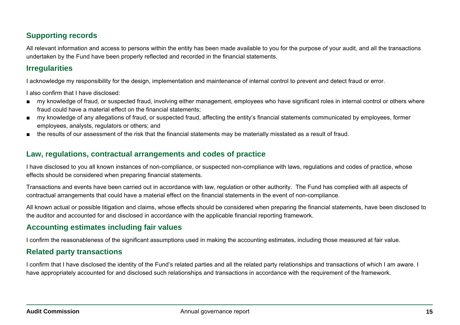### **Supporting records**

All relevant information and access to persons within the entity has been made available to you for the purpose of your audit, and all the transactions undertaken by the Fund have been properly reflected and recorded in the financial statements.

### **Irregularities**

I acknowledge my responsibility for the design, implementation and maintenance of internal control to prevent and detect fraud or error.

I also confirm that I have disclosed:

- my knowledge of fraud, or suspected fraud, involving either management, employees who have significant roles in internal control or others where fraud could have a material effect on the financial statements;
- my knowledge of any allegations of fraud, or suspected fraud, affecting the entity's financial statements communicated by employees, former employees, analysts, regulators or others; and
- ■ the results of our assessment of the risk that the financial statements may be materially misstated as a result of fraud.

### **Law, regulations, contractual arrangements and codes of practice**

I have disclosed to you all known instances of non-compliance, or suspected non-compliance with laws, regulations and codes of practice, whose effects should be considered when preparing financial statements.

Transactions and events have been carried out in accordance with law, regulation or other authority. The Fund has complied with all aspects of contractual arrangements that could have a material effect on the financial statements in the event of non-compliance.

All known actual or possible litigation and claims, whose effects should be considered when preparing the financial statements, have been disclosed to the auditor and accounted for and disclosed in accordance with the applicable financial reporting framework.

### **Accounting estimates including fair values**

I confirm the reasonableness of the significant assumptions used in making the accounting estimates, including those measured at fair value.

### **Related party transactions**

I confirm that I have disclosed the identity of the Fund's related parties and all the related party relationships and transactions of which I am aware. I have appropriately accounted for and disclosed such relationships and transactions in accordance with the requirement of the framework.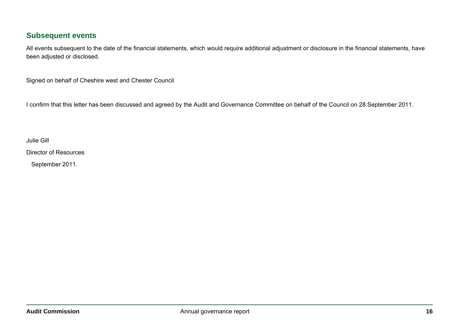### **Subsequent events**

All events subsequent to the date of the financial statements, which would require additional adjustment or disclosure in the financial statements, have been adjusted or disclosed.

Signed on behalf of Cheshire west and Chester Council

I confirm that this letter has been discussed and agreed by the Audit and Governance Committee on behalf of the Council on 28 September 2011.

Julie Gill

Director of Resources

September 2011.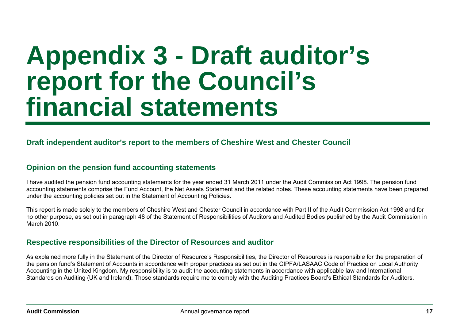### **Appendix 3 - Draft auditor's report for the Council's financial statements**

### **Draft independent auditor's report to the members of Cheshire West and Chester Council**

### **Opinion on the pension fund accounting statements**

I have audited the pension fund accounting statements for the year ended 31 March 2011 under the Audit Commission Act 1998. The pension fund accounting statements comprise the Fund Account, the Net Assets Statement and the related notes. These accounting statements have been prepared under the accounting policies set out in the Statement of Accounting Policies.

This report is made solely to the members of Cheshire West and Chester Council in accordance with Part II of the Audit Commission Act 1998 and for no other purpose, as set out in paragraph 48 of the Statement of Responsibilities of Auditors and Audited Bodies published by the Audit Commission in March 2010.

#### **Respective responsibilities of the Director of Resources and auditor**

As explained more fully in the Statement of the Director of Resource's Responsibilities, the Director of Resources is responsible for the preparation of the pension fund's Statement of Accounts in accordance with proper practices as set out in the CIPFA/LASAAC Code of Practice on Local Authority Accounting in the United Kingdom. My responsibility is to audit the accounting statements in accordance with applicable law and International Standards on Auditing (UK and Ireland). Those standards require me to comply with the Auditing Practices Board's Ethical Standards for Auditors.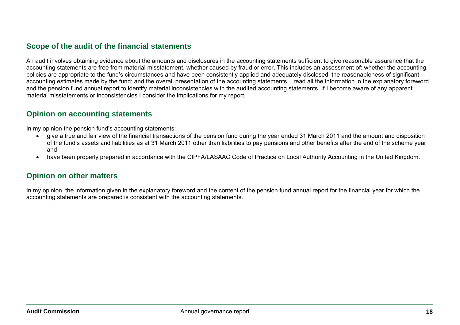### **Scope of the audit of the financial statements**

An audit involves obtaining evidence about the amounts and disclosures in the accounting statements sufficient to give reasonable assurance that the accounting statements are free from material misstatement, whether caused by fraud or error. This includes an assessment of: whether the accounting policies are appropriate to the fund's circumstances and have been consistently applied and adequately disclosed; the reasonableness of significant accounting estimates made by the fund; and the overall presentation of the accounting statements. I read all the information in the explanatory foreword and the pension fund annual report to identify material inconsistencies with the audited accounting statements. If I become aware of any apparent material misstatements or inconsistencies I consider the implications for my report.

### **Opinion on accounting statements**

In my opinion the pension fund's accounting statements:

- • give a true and fair view of the financial transactions of the pension fund during the year ended 31 March 2011 and the amount and disposition of the fund's assets and liabilities as at 31 March 2011 other than liabilities to pay pensions and other benefits after the end of the scheme year and
- $\bullet$  have been properly prepared in accordance with the CIPFA/LASAAC Code of Practice on Local Authority Accounting in the United Kingdom.

#### **Opinion on other matters**

In my opinion, the information given in the explanatory foreword and the content of the pension fund annual report for the financial year for which the accounting statements are prepared is consistent with the accounting statements.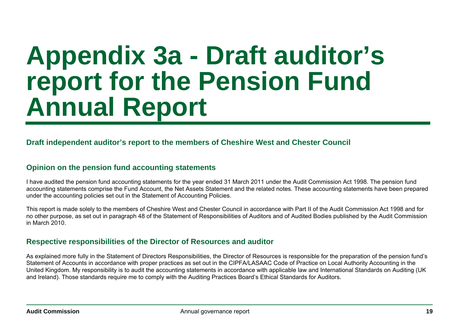### **Appendix 3a - Draft auditor's report for the Pension Fund Annual Report**

### **Draft independent auditor's report to the members of Cheshire West and Chester Council**

### **Opinion on the pension fund accounting statements**

I have audited the pension fund accounting statements for the year ended 31 March 2011 under the Audit Commission Act 1998. The pension fund accounting statements comprise the Fund Account, the Net Assets Statement and the related notes. These accounting statements have been prepared under the accounting policies set out in the Statement of Accounting Policies.

This report is made solely to the members of Cheshire West and Chester Council in accordance with Part II of the Audit Commission Act 1998 and for no other purpose, as set out in paragraph 48 of the Statement of Responsibilities of Auditors and of Audited Bodies published by the Audit Commission in March 2010.

### **Respective responsibilities of the Director of Resources and auditor**

As explained more fully in the Statement of Directors Responsibilities, the Director of Resources is responsible for the preparation of the pension fund's Statement of Accounts in accordance with proper practices as set out in the CIPFA/LASAAC Code of Practice on Local Authority Accounting in the United Kingdom. My responsibility is to audit the accounting statements in accordance with applicable law and International Standards on Auditing (UK and Ireland). Those standards require me to comply with the Auditing Practices Board's Ethical Standards for Auditors.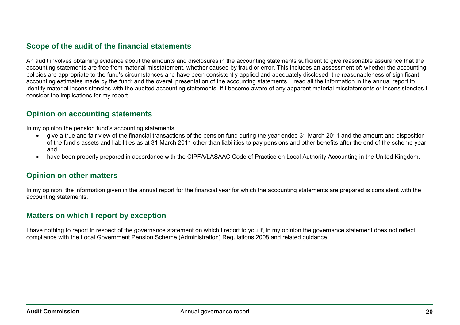### **Scope of the audit of the financial statements**

An audit involves obtaining evidence about the amounts and disclosures in the accounting statements sufficient to give reasonable assurance that the accounting statements are free from material misstatement, whether caused by fraud or error. This includes an assessment of: whether the accounting policies are appropriate to the fund's circumstances and have been consistently applied and adequately disclosed; the reasonableness of significant accounting estimates made by the fund; and the overall presentation of the accounting statements. I read all the information in the annual report to identify material inconsistencies with the audited accounting statements. If I become aware of any apparent material misstatements or inconsistencies I consider the implications for my report.

### **Opinion on accounting statements**

In my opinion the pension fund's accounting statements:

- • give a true and fair view of the financial transactions of the pension fund during the year ended 31 March 2011 and the amount and disposition of the fund's assets and liabilities as at 31 March 2011 other than liabilities to pay pensions and other benefits after the end of the scheme year; and
- • have been properly prepared in accordance with the CIPFA/LASAAC Code of Practice on Local Authority Accounting in the United Kingdom.

### **Opinion on other matters**

In my opinion, the information given in the annual report for the financial year for which the accounting statements are prepared is consistent with the accounting statements.

#### **Matters on which I report by exception**

I have nothing to report in respect of the governance statement on which I report to you if, in my opinion the governance statement does not reflect compliance with the Local Government Pension Scheme (Administration) Regulations 2008 and related guidance.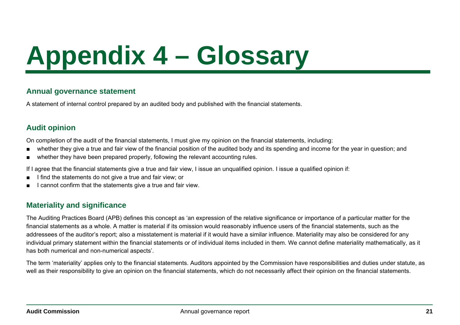# **Appendix 4 – Glossary**

### **Annual governance statement**

A statement of internal control prepared by an audited body and published with the financial statements.

### **Audit opinion**

On completion of the audit of the financial statements, I must give my opinion on the financial statements, including:

- ■whether they give a true and fair view of the financial position of the audited body and its spending and income for the year in question; and
- ■whether they have been prepared properly, following the relevant accounting rules.

If I agree that the financial statements give a true and fair view, I issue an unqualified opinion. I issue a qualified opinion if:

- ■I find the statements do not give a true and fair view; or
- ■I cannot confirm that the statements give a true and fair view.

### **Materiality and significance**

The Auditing Practices Board (APB) defines this concept as 'an expression of the relative significance or importance of a particular matter for the financial statements as a whole. A matter is material if its omission would reasonably influence users of the financial statements, such as the addressees of the auditor's report; also a misstatement is material if it would have a similar influence. Materiality may also be considered for any individual primary statement within the financial statements or of individual items included in them. We cannot define materiality mathematically, as it has both numerical and non-numerical aspects'.

The term 'materiality' applies only to the financial statements. Auditors appointed by the Commission have responsibilities and duties under statute, as well as their responsibility to give an opinion on the financial statements, which do not necessarily affect their opinion on the financial statements.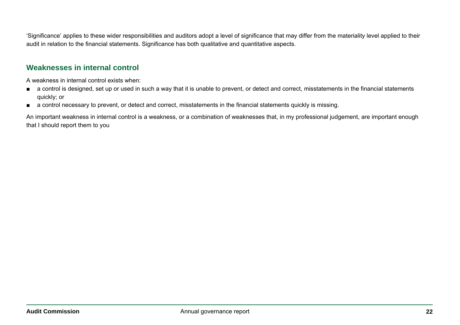'Significance' applies to these wider responsibilities and auditors adopt a level of significance that may differ from the materiality level applied to their audit in relation to the financial statements. Significance has both qualitative and quantitative aspects.

### **Weaknesses in internal control**

A weakness in internal control exists when:

- a control is designed, set up or used in such a way that it is unable to prevent, or detect and correct, misstatements in the financial statements quickly; or
- a control necessary to prevent, or detect and correct, misstatements in the financial statements quickly is missing.

An important weakness in internal control is a weakness, or a combination of weaknesses that, in my professional judgement, are important enough that I should report them to you